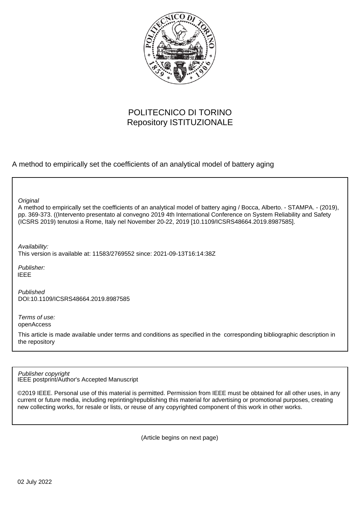

# POLITECNICO DI TORINO Repository ISTITUZIONALE

A method to empirically set the coefficients of an analytical model of battery aging

**Original** 

A method to empirically set the coefficients of an analytical model of battery aging / Bocca, Alberto. - STAMPA. - (2019), pp. 369-373. ((Intervento presentato al convegno 2019 4th International Conference on System Reliability and Safety (ICSRS 2019) tenutosi a Rome, Italy nel November 20-22, 2019 [10.1109/ICSRS48664.2019.8987585].

Availability:

This version is available at: 11583/2769552 since: 2021-09-13T16:14:38Z

Publisher: IEEE

Published DOI:10.1109/ICSRS48664.2019.8987585

Terms of use: openAccess

This article is made available under terms and conditions as specified in the corresponding bibliographic description in the repository

IEEE postprint/Author's Accepted Manuscript Publisher copyright

©2019 IEEE. Personal use of this material is permitted. Permission from IEEE must be obtained for all other uses, in any current or future media, including reprinting/republishing this material for advertising or promotional purposes, creating new collecting works, for resale or lists, or reuse of any copyrighted component of this work in other works.

(Article begins on next page)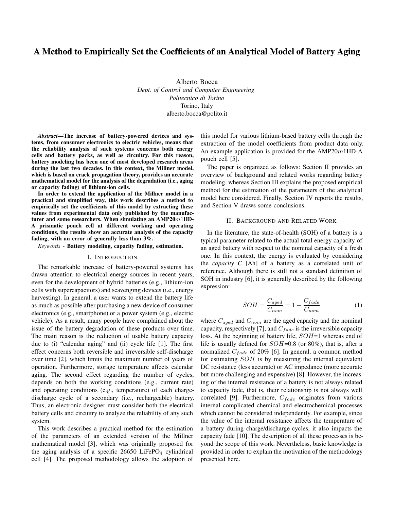# A Method to Empirically Set the Coefficients of an Analytical Model of Battery Aging

Alberto Bocca *Dept. of Control and Computer Engineering Politecnico di Torino* Torino, Italy alberto.bocca@polito.it

*Abstract*—The increase of battery-powered devices and systems, from consumer electronics to electric vehicles, means that the reliability analysis of such systems concerns both energy cells and battery packs, as well as circuitry. For this reason, battery modeling has been one of most developed research areas during the last two decades. In this context, the Millner model, which is based on crack propagation theory, provides an accurate mathematical model for the analysis of the degradation (i.e., aging or capacity fading) of lithium-ion cells.

In order to extend the application of the Millner model in a practical and simplified way, this work describes a method to empirically set the coefficients of this model by extracting these values from experimental data only published by the manufacturer and some researchers. When simulating an AMP20m1HD-A prismatic pouch cell at different working and operating conditions, the results show an accurate analysis of the capacity fading, with an error of generally less than 3%.

*Keywords* - Battery modeling, capacity fading, estimation.

#### I. INTRODUCTION

The remarkable increase of battery-powered systems has drawn attention to electrical energy sources in recent years, even for the development of hybrid batteries (e.g., lithium-ion cells with supercapacitors) and scavenging devices (i.e., energy harvesting). In general, a user wants to extend the battery life as much as possible after purchasing a new device of consumer electronics (e.g., smartphone) or a power system (e.g., electric vehicle). As a result, many people have complained about the issue of the battery degradation of these products over time. The main reason is the reduction of usable battery capacity due to (i) "calendar aging" and (ii) cycle life [1]. The first effect concerns both reversible and irreversible self-discharge over time [2], which limits the maximum number of years of operation. Furthermore, storage temperature affects calendar aging. The second effect regarding the number of cycles, depends on both the working conditions (e.g., current rate) and operating conditions (e.g., temperature) of each chargedischarge cycle of a secondary (i.e., rechargeable) battery. Thus, an electronic designer must consider both the electrical battery cells and circuitry to analyze the reliability of any such system.

This work describes a practical method for the estimation of the parameters of an extended version of the Millner mathematical model [3], which was originally proposed for the aging analysis of a specific  $26650$  LiFePO<sub>4</sub> cylindrical cell [4]. The proposed methodology allows the adoption of this model for various lithium-based battery cells through the extraction of the model coefficients from product data only. An example application is provided for the AMP20m1HD-A pouch cell [5].

The paper is organized as follows: Section II provides an overview of background and related works regarding battery modeling, whereas Section III explains the proposed empirical method for the estimation of the parameters of the analytical model here considered. Finally, Section IV reports the results, and Section V draws some conclusions.

#### II. BACKGROUND AND RELATED WORK

In the literature, the state-of-health (SOH) of a battery is a typical parameter related to the actual total energy capacity of an aged battery with respect to the nominal capacity of a fresh one. In this context, the energy is evaluated by considering the *capacity C* [Ah] of a battery as a correlated unit of reference. Although there is still not a standard definition of SOH in industry [6], it is generally described by the following expression:

$$
SOH = \frac{C_{aged}}{C_{nom}} = 1 - \frac{C_{fade}}{C_{nom}} \tag{1}
$$

where  $C_{aged}$  and  $C_{nom}$  are the aged capacity and the nominal capacity, respectively [7], and  $C_{fade}$  is the irreversible capacity loss. At the beginning of battery life,  $SOH=1$  whereas end of life is usually defined for  $SOH=0.8$  (or 80%), that is, after a normalized  $C_{fade}$  of 20% [6]. In general, a common method for estimating SOH is by measuring the internal equivalent DC resistance (less accurate) or AC impedance (more accurate but more challenging and expensive) [8]. However, the increasing of the internal resistance of a battery is not always related to capacity fade, that is, their relationship is not always well correlated [9]. Furthermore,  $C_{fade}$  originates from various internal complicated chemical and electrochemical processes which cannot be considered independently. For example, since the value of the internal resistance affects the temperature of a battery during charge/discharge cycles, it also impacts the capacity fade [10]. The description of all these processes is beyond the scope of this work. Nevertheless, basic knowledge is provided in order to explain the motivation of the methodology presented here.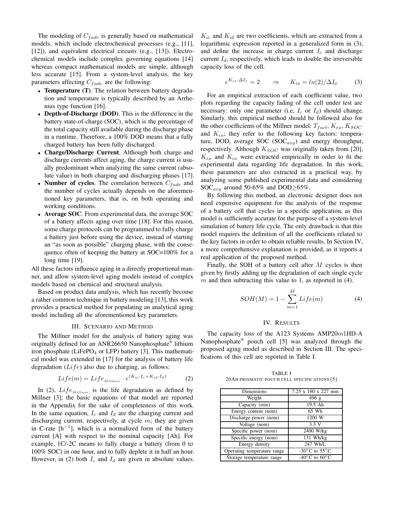The modeling of  $C_{fade}$  is generally based on mathematical models, which include electrochemical processes (e.g., [11], [12]), and equivalent electrical circuits (e.g., [13]). Electrochemical models include complex governing equations [14] whereas compact mathematical models are simple, although less accurate [15]. From a system-level analysis, the key parameters affecting  $C_{fade}$  are the following:

- Temperature (T). The relation between battery degradation and temperature is typically described by an Arrhenius type function [16].
- Depth-of-Discharge (DOD). This is the difference in the battery state-of-charge (SOC), which is the percentage of the total capacity still available during the discharge phase in a runtime. Therefore, a 100% DOD means that a fully charged battery has been fully discharged.
- Charge/Discharge Current. Although both charge and discharge currents affect aging, the charge current is usually predominant when analyzing the same current (absolute value) in both charging and discharging phases [17].
- Number of cycles. The correlation between  $C_{fade}$  and the number of cycles actually depends on the aforementioned key parameters, that is, on both operating and working conditions.
- Average SOC. From experimental data, the average SOC of a battery affects aging over time [18]. For this reason, some charge protocols can be programmed to fully charge a battery just before using the device, instead of starting an "as soon as possible" charging phase, with the consequence often of keeping the battery at SOC=100% for a long time [19].

All these factors influence aging in a directly proportional manner, and allow system-level aging models instead of complex models based on chemical and structural analysis.

Based on product data analysis, which has recently become a rather common technique in battery modeling [13], this work provides a practical method for populating an analytical aging model including all the aforementioned key parameters.

## III. SCENARIO AND METHOD

The Millner model for the analysis of battery aging was originally defined for an ANR26650 Nanophosphate® lithium iron phosphate (LiFePO<sub>4</sub> or LFP) battery [3]. This mathematical model was extended in [17] for the analysis of battery life degradation  $(Lif_e)$  also due to charging, as follows:

$$
Life(m) = Life_{Millner} \cdot e^{(K_{ic} \cdot I_c + K_{id} \cdot I_d)} \tag{2}
$$

In (2),  $Life_{Millner}$  is the life degradation as defined by Millner [3]; the basic equations of that model are reported in the Appendix for the sake of completeness of this work. In the same equation,  $I_c$  and  $I_d$  are the charging current and discharging current, respectively, at cycle  $m$ ; they are given in C-rate [h<sup>−</sup><sup>1</sup> ], which is a normalized form of the battery current [A] with respect to the nominal capacity [Ah]. For example, 1C/-2C means to fully charge a battery (from 0 to 100% SOC) in one hour, and to fully deplete it in half an hour. However, in (2) both  $I_c$  and  $I_d$  are given in absolute values.

 $K_{ic}$  and  $K_{id}$  are two coefficients, which are extracted from a logarithmic expression reported in a generalized form in (3), and define the increase in charge current  $I_c$  and discharge current  $I_d$ , respectively, which leads to double the irreversible capacity loss of the cell.

$$
e^{K_{ix} \cdot \Delta I_x} = 2 \qquad \Rightarrow \qquad K_{ix} = \ln(2) / \Delta I_x \tag{3}
$$

For an empirical extraction of each coefficient value, two plots regarding the capacity fading of the cell under test are necessary: only one parameter (i.e,  $I_c$  or  $I_d$ ) should change. Similarly, this empirical method should be followed also for the other coefficients of the Millner model:  $T_{fact}$ ,  $K_{ex}$ ,  $K_{SOC}$ and  $K_{co}$ ; they refer to the following key factors: temperature, DOD, average SOC (SOC $_{avg}$ ) and energy throughput, respectively. Although  $K_{SOC}$  was originally taken from [20],  $K_{ex}$  and  $K_{co}$  were extracted empirically in order to fit the experimental data regarding life degradation. In this work, these parameters are also extracted in a practical way, by analyzing some published experimental data and considering SOC<sub>avg</sub> around 50-65% and DOD≥65%.

By following this method, an electronic designer does not need expensive equipment for the analysis of the response of a battery cell that cycles in a specific application, as this model is sufficiently accurate for the purpose of a system-level simulation of battery life cycle. The only drawback is that this model requires the definition of all the coefficients related to the key factors in order to obtain reliable results. In Section IV, a more comprehensive explanation is provided, as it reports a real application of the proposed method.

Finally, the SOH of a battery cell after  $M$  cycles is then given by firstly adding up the degradation of each single cycle  $m$  and then subtracting this value to 1, as reported in (4).

$$
SOH(M) = 1 - \sum_{m=1}^{M} Life(m)
$$
 (4)

### IV. RESULTS

The capacity loss of the A123 Systems AMP20m1HD-A Nanophosphate® pouch cell [5] was analyzed through the proposed aging model as described in Section III. The specifications of this cell are reported in Table I.

TABLE I 20AH PRISMATIC POUCH CELL SPECIFICATIONS [5].

| Dimensions                  | 7.25 x 160 x 227 mm                         |
|-----------------------------|---------------------------------------------|
| Weight                      | 496 g                                       |
| Capacity (min)              | 19.5 Ah                                     |
| Energy content (nom)        | 65 Wh                                       |
| Discharge power (nom)       | 1200 W                                      |
| Voltage (nom)               | 3.3 V                                       |
| Specific power (nom)        | 2400 W/kg                                   |
| Specific energy (nom)       | 131 Wh/kg                                   |
| Energy density              | 247 Wh/L                                    |
| Operating temperature range | -30 $\rm{^{\circ}C}$ to 55 $\rm{^{\circ}C}$ |
| Storage temperature range   | -40 $\rm{^{\circ}C}$ to 60 $\rm{^{\circ}C}$ |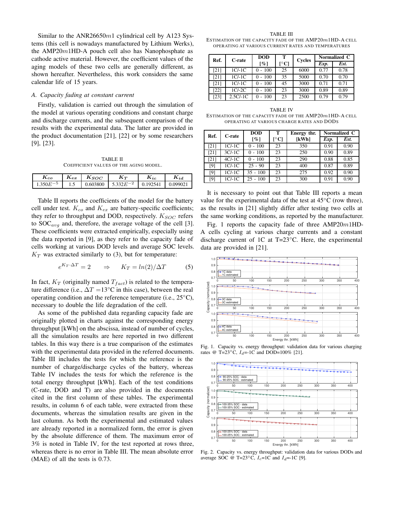Similar to the ANR26650 $m1$  cylindrical cell by A123 Systems (this cell is nowadays manufactured by Lithium Werks), the  $AMP20m1HD-A$  pouch cell also has Nanophosphate as cathode active material. However, the coefficient values of the aging models of these two cells are generally different, as shown hereafter. Nevertheless, this work considers the same calendar life of 15 years.

# *A. Capacity fading at constant current*

Firstly, validation is carried out through the simulation of the model at various operating conditions and constant charge and discharge currents, and the subsequent comparison of the results with the experimental data. The latter are provided in the product documentation [21], [22] or by some researchers [9], [23].

TABLE II COEFFICIENT VALUES OF THE AGING MODEL.

| K co         | $\mathbf{A}_{ex}$ | $\kappa_{SOC}$ | ĸт             | $\mathbf{n}_{ic}$ | $\mathbf{r}_{id}$ |
|--------------|-------------------|----------------|----------------|-------------------|-------------------|
| 350 $E^{-5}$ | ل. 1              | 0.603800       | 5 332 $E^{-2}$ | 0.192541          | 0.09902.          |

Table II reports the coefficients of the model for the battery cell under test.  $K_{co}$  and  $K_{ex}$  are battery-specific coefficients; they refer to throughput and DOD, respectively.  $K_{SOC}$  refers to  $SOC_{ava}$  and, therefore, the average voltage of the cell [3]. These coefficients were extracted empirically, especially using the data reported in [9], as they refer to the capacity fade of cells working at various DOD levels and average SOC levels.  $K_T$  was extracted similarly to (3), but for temperature:

$$
e^{K_T \cdot \Delta T} = 2 \qquad \Rightarrow \qquad K_T = \ln(2)/\Delta T \tag{5}
$$

In fact,  $K_T$  (originally named  $T_{fact}$ ) is related to the temperature difference (i.e.,  $\Delta T = 13^{\circ}\text{C}$  in this case), between the real operating condition and the reference temperature (i.e., 25°C), necessary to double the life degradation of the cell.

As some of the published data regarding capacity fade are originally plotted in charts against the corresponding energy throughput [kWh] on the abscissa, instead of number of cycles, all the simulation results are here reported in two different tables. In this way there is a true comparison of the estimates with the experimental data provided in the referred documents. Table III includes the tests for which the reference is the number of charge/discharge cycles of the battery, whereas Table IV includes the tests for which the reference is the total energy throughput [kWh]. Each of the test conditions (C-rate, DOD and T) are also provided in the documents cited in the first column of these tables. The experimental results, in column 6 of each table, were extracted from these documents, whereas the simulation results are given in the last column. As both the experimental and estimated values are already reported in a normalized form, the error is given by the absolute difference of them. The maximum error of 3% is noted in Table IV, for the test reported at rows three, whereas there is no error in Table III. The mean absolute error (MAE) of all the tests is 0.73.

TABLE III ESTIMATION OF THE CAPACITY FADE OF THE AMP20m1HD-A CELL OPERATING AT VARIOUS CURRENT RATES AND TEMPERATURES

| Ref. | C-rate     | <b>DOD</b>         | т                        | <b>Cycles</b> | Normalized C |      |
|------|------------|--------------------|--------------------------|---------------|--------------|------|
|      |            | $\lceil \% \rceil$ | $\lceil$ <sup>o</sup> Cl |               | Exp.         | Est. |
| [21] | $1C/-1C$   | $0 - 100$          | 25                       | 6000          | 0.77         | 0.78 |
| [21] | $1C/-1C$   | 100                | 35                       | 5000          | 0.70         | 0.70 |
| [21] | $1C/-1C$   | $0 - 100$          | 45                       | 3000          | 0.71         | 0.71 |
| [22] | $1C/-2C$   | $0 - 100$          | 23                       | 3000          | 0.89         | 0.89 |
| [23] | $2.5C/-1C$ | $-100$             | 23                       | 2500          | 0.79         | 0.79 |

TABLE IV ESTIMATION OF THE CAPACITY FADE OF THE AMP20m1HD-A CELL OPERATING AT VARIOUS CHARGE RATES AND DODS

| Ref.  | C-rate             | <b>DOD</b>        | т     | Energy thr. | Normalized C |      |
|-------|--------------------|-------------------|-------|-------------|--------------|------|
|       | $\lceil \% \rceil$ | $\rm ^{\circ}C$ ] | [kWh] | Exp.        | Est.         |      |
| [21]  | $1C/-1C$           | $0 - 100$         | 23    | 350         | 0.91         | 0.90 |
| [21]  | $3C/-1C$           | $0 - 100$         | 23    | 250         | 0.90         | 0.89 |
| [21]  | $4C/-1C$           | $0 - 100$         | 23    | 290         | 0.88         | 0.85 |
| [9]   | $1C/-1C$           | $25 - 90$         | 23    | 400         | 0.87         | 0.89 |
| $[9]$ | $1C/-1C$           | $35 - 100$        | 23    | 275         | 0.92         | 0.90 |
| $[9]$ | $1C/-1C$           | $25 - 100$        | 23    | 300         | 0.91         | 0.90 |

It is necessary to point out that Table III reports a mean value for the experimental data of the test at  $45^{\circ}$ C (row three), as the results in [21] slightly differ after testing two cells at the same working conditions, as reported by the manufacturer.

Fig. 1 reports the capacity fade of three  $AMP20m1HD-$ A cells cycling at various charge currents and a constant discharge current of 1C at T=23◦C. Here, the experimental data are provided in [21].



Fig. 1. Capacity vs. energy throughput: validation data for various charging rates @ T=23 $\degree$ C,  $I_d$ =-1C and DOD=100% [21].



Fig. 2. Capacity vs. energy throughput: validation data for various DODs and average SOC @ T=23 $\textdegree$ C,  $I_c$ =1C and  $I_d$ =-1C [9].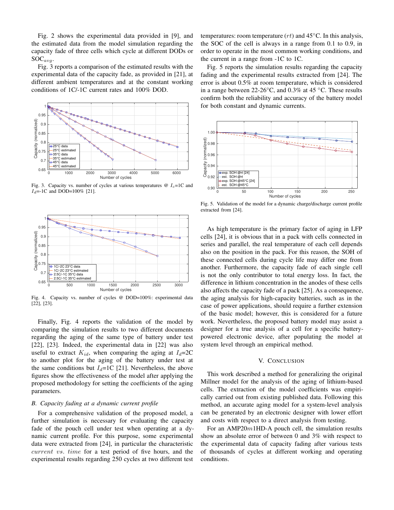Fig. 2 shows the experimental data provided in [9], and the estimated data from the model simulation regarding the capacity fade of three cells which cycle at different DODs or  $SOC_{ava}$ .

Fig. 3 reports a comparison of the estimated results with the experimental data of the capacity fade, as provided in [21], at different ambient temperatures and at the constant working conditions of 1C/-1C current rates and 100% DOD.



Fig. 3. Capacity vs. number of cycles at various temperatures  $\omega I_c=1C$  and  $I_d$ =-1C and DOD=100% [21].



Fig. 4. Capacity vs. number of cycles @ DOD=100%: experimental data [22], [23].

Finally, Fig. 4 reports the validation of the model by comparing the simulation results to two different documents regarding the aging of the same type of battery under test [22], [23]. Indeed, the experimental data in [22] was also useful to extract  $K_{id}$ , when comparing the aging at  $I_d=2C$ to another plot for the aging of the battery under test at the same conditions but  $I_d=1C$  [21]. Nevertheless, the above figures show the effectiveness of the model after applying the proposed methodology for setting the coefficients of the aging parameters.

# *B. Capacity fading at a dynamic current profile*

For a comprehensive validation of the proposed model, a further simulation is necessary for evaluating the capacity fade of the pouch cell under test when operating at a dynamic current profile. For this purpose, some experimental data were extracted from [24], in particular the characteristic current vs. time for a test period of five hours, and the experimental results regarding 250 cycles at two different test

temperatures: room temperature  $(rt)$  and 45 $°C$ . In this analysis, the SOC of the cell is always in a range from 0.1 to 0.9, in order to operate in the most common working conditions, and the current in a range from -1C to 1C.

Fig. 5 reports the simulation results regarding the capacity fading and the experimental results extracted from [24]. The error is about 0.5% at room temperature, which is considered in a range between 22-26 $\degree$ C, and 0.3% at 45  $\degree$ C. These results confirm both the reliability and accuracy of the battery model for both constant and dynamic currents.



Fig. 5. Validation of the model for a dynamic charge/discharge current profile extracted from [24].

As high temperature is the primary factor of aging in LFP cells [24], it is obvious that in a pack with cells connected in series and parallel, the real temperature of each cell depends also on the position in the pack. For this reason, the SOH of these connected cells during cycle life may differ one from another. Furthermore, the capacity fade of each single cell is not the only contributor to total energy loss. In fact, the difference in lithium concentration in the anodes of these cells also affects the capacity fade of a pack [25]. As a consequence, the aging analysis for high-capacity batteries, such as in the case of power applications, should require a further extension of the basic model; however, this is considered for a future work. Nevertheless, the proposed battery model may assist a designer for a true analysis of a cell for a specific batterypowered electronic device, after populating the model at system level through an empirical method.

### V. CONCLUSION

This work described a method for generalizing the original Millner model for the analysis of the aging of lithium-based cells. The extraction of the model coefficients was empirically carried out from existing published data. Following this method, an accurate aging model for a system-level analysis can be generated by an electronic designer with lower effort and costs with respect to a direct analysis from testing.

For an AMP20 $m1$ HD-A pouch cell, the simulation results show an absolute error of between 0 and 3% with respect to the experimental data of capacity fading after various tests of thousands of cycles at different working and operating conditions.